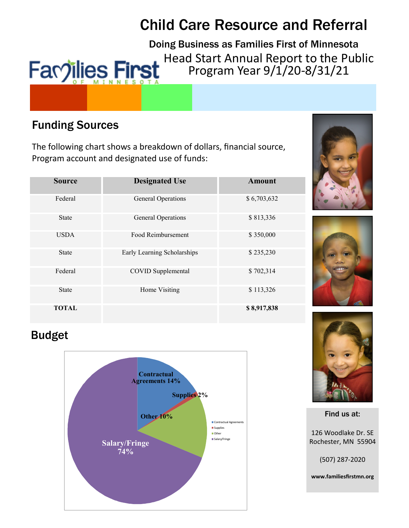# Child Care Resource and Referral

Doing Business as Families First of Minnesota Head Start Annual Report to the Public **Facoilies First** Program Year 9/1/20-8/31/21

## Funding Sources

The following chart shows a breakdown of dollars, financial source, Program account and designated use of funds:

| <b>Source</b> | <b>Designated Use</b>       | <b>Amount</b> |
|---------------|-----------------------------|---------------|
| Federal       | General Operations          | \$6,703,632   |
| <b>State</b>  | General Operations          | \$813,336     |
| <b>USDA</b>   | Food Reimbursement          | \$350,000     |
| <b>State</b>  | Early Learning Scholarships | \$235,230     |
| Federal       | COVID Supplemental          | \$702,314     |
| <b>State</b>  | Home Visiting               | \$113,326     |
| <b>TOTAL</b>  |                             | \$8,917,838   |





# Budget





Find us at:

126 Woodlake Dr. SE Rochester, MN 55904

(507) 287-2020

**www.familiesfirstmn.org**